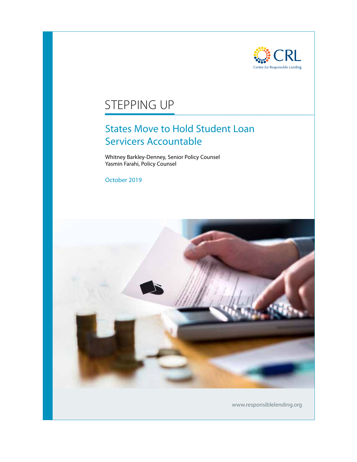

# STEPPING UP ––––––––––––––––––––––––––––––––––––––––––––––––––––––––

# States Move to Hold Student Loan Servicers Accountable

Whitney Barkley-Denney, Senior Policy Counsel Yasmin Farahi, Policy Counsel

October 2019

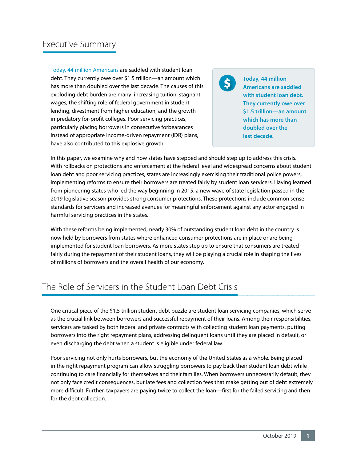Today, 44 million Americans are saddled with student loan debt. They currently owe over \$1.5 trillion—an amount which has more than doubled over the last decade. The causes of this exploding debt burden are many: increasing tuition, stagnant wages, the shifting role of federal government in student lending, divestment from higher education, and the growth in predatory for-profit colleges. Poor servicing practices, particularly placing borrowers in consecutive forbearances instead of appropriate income-driven repayment (IDR) plans, have also contributed to this explosive growth.

**Today, 44 million Americans are saddled with student loan debt. They currently owe over \$1.5 trillion—an amount which has more than doubled over the last decade.**

 $\mathbf{S}$ 

In this paper, we examine why and how states have stepped and should step up to address this crisis. With rollbacks on protections and enforcement at the federal level and widespread concerns about student loan debt and poor servicing practices, states are increasingly exercising their traditional police powers, implementing reforms to ensure their borrowers are treated fairly by student loan servicers. Having learned from pioneering states who led the way beginning in 2015, a new wave of state legislation passed in the 2019 legislative season provides strong consumer protections. These protections include common sense standards for servicers and increased avenues for meaningful enforcement against any actor engaged in harmful servicing practices in the states.

With these reforms being implemented, nearly 30% of outstanding student loan debt in the country is now held by borrowers from states where enhanced consumer protections are in place or are being implemented for student loan borrowers. As more states step up to ensure that consumers are treated fairly during the repayment of their student loans, they will be playing a crucial role in shaping the lives of millions of borrowers and the overall health of our economy.

# The Role of Servicers in the Student Loan Debt Crisis –––––––––––––––––––––––––––––––––––––––––––––––––––––––––––––––––––––––––

One critical piece of the \$1.5 trillion student debt puzzle are student loan servicing companies, which serve as the crucial link between borrowers and successful repayment of their loans. Among their responsibilities, servicers are tasked by both federal and private contracts with collecting student loan payments, putting borrowers into the right repayment plans, addressing delinquent loans until they are placed in default, or even discharging the debt when a student is eligible under federal law.

Poor servicing not only hurts borrowers, but the economy of the United States as a whole. Being placed in the right repayment program can allow struggling borrowers to pay back their student loan debt while continuing to care financially for themselves and their families. When borrowers unnecessarily default, they not only face credit consequences, but late fees and collection fees that make getting out of debt extremely more difficult. Further, taxpayers are paying twice to collect the loan—first for the failed servicing and then for the debt collection.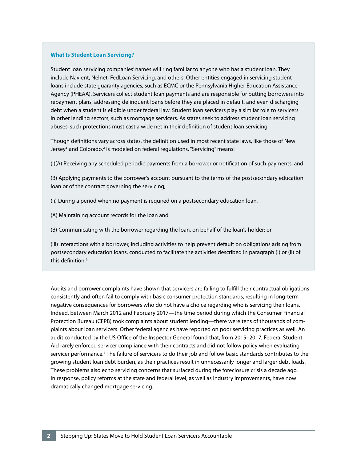#### **What Is Student Loan Servicing?**

Student loan servicing companies' names will ring familiar to anyone who has a student loan. They include Navient, Nelnet, FedLoan Servicing, and others. Other entities engaged in servicing student loans include state guaranty agencies, such as ECMC or the Pennsylvania Higher Education Assistance Agency (PHEAA). Servicers collect student loan payments and are responsible for putting borrowers into repayment plans, addressing delinquent loans before they are placed in default, and even discharging debt when a student is eligible under federal law. Student loan servicers play a similar role to servicers in other lending sectors, such as mortgage servicers. As states seek to address student loan servicing abuses, such protections must cast a wide net in their definition of student loan servicing.

Though definitions vary across states, the definition used in most recent state laws, like those of New Jersey<sup>1</sup> and Colorado,<sup>2</sup> is modeled on federal regulations. "Servicing" means:

(i)(A) Receiving any scheduled periodic payments from a borrower or notification of such payments, and

(B) Applying payments to the borrower's account pursuant to the terms of the postsecondary education loan or of the contract governing the servicing;

(ii) During a period when no payment is required on a postsecondary education loan,

(A) Maintaining account records for the loan and

(B) Communicating with the borrower regarding the loan, on behalf of the loan's holder; or

(iii) Interactions with a borrower, including activities to help prevent default on obligations arising from postsecondary education loans, conducted to facilitate the activities described in paragraph (i) or (ii) of this definition.<sup>3</sup>

Audits and borrower complaints have shown that servicers are failing to fulfill their contractual obligations consistently and often fail to comply with basic consumer protection standards, resulting in long-term negative consequences for borrowers who do not have a choice regarding who is servicing their loans. Indeed, between March 2012 and February 2017—the time period during which the Consumer Financial Protection Bureau (CFPB) took complaints about student lending—there were tens of thousands of complaints about loan servicers. Other federal agencies have reported on poor servicing practices as well. An audit conducted by the US Office of the Inspector General found that, from 2015–2017, Federal Student Aid rarely enforced servicer compliance with their contracts and did not follow policy when evaluating servicer performance.<sup>4</sup> The failure of servicers to do their job and follow basic standards contributes to the growing student loan debt burden, as their practices result in unnecessarily longer and larger debt loads. These problems also echo servicing concerns that surfaced during the foreclosure crisis a decade ago. In response, policy reforms at the state and federal level, as well as industry improvements, have now dramatically changed mortgage servicing.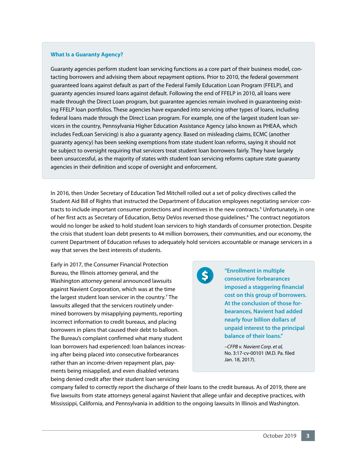### **What Is a Guaranty Agency?**

Guaranty agencies perform student loan servicing functions as a core part of their business model, contacting borrowers and advising them about repayment options. Prior to 2010, the federal government guaranteed loans against default as part of the Federal Family Education Loan Program (FFELP), and guaranty agencies insured loans against default. Following the end of FFELP in 2010, all loans were made through the Direct Loan program, but guarantee agencies remain involved in guaranteeing existing FFELP loan portfolios. These agencies have expanded into servicing other types of loans, including federal loans made through the Direct Loan program. For example, one of the largest student loan servicers in the country, Pennsylvania Higher Education Assistance Agency (also known as PHEAA, which includes FedLoan Servicing) is also a guaranty agency. Based on misleading claims, ECMC (another guaranty agency) has been seeking exemptions from state student loan reforms, saying it should not be subject to oversight requiring that servicers treat student loan borrowers fairly. They have largely been unsuccessful, as the majority of states with student loan servicing reforms capture state guaranty agencies in their definition and scope of oversight and enforcement.

In 2016, then Under Secretary of Education Ted Mitchell rolled out a set of policy directives called the Student Aid Bill of Rights that instructed the Department of Education employees negotiating servicer contracts to include important consumer protections and incentives in the new contracts.<sup>5</sup> Unfortunately, in one of her first acts as Secretary of Education, Betsy DeVos reversed those guidelines.<sup>6</sup> The contract negotiators would no longer be asked to hold student loan servicers to high standards of consumer protection. Despite the crisis that student loan debt presents to 44 million borrowers, their communities, and our economy, the current Department of Education refuses to adequately hold servicers accountable or manage servicers in a way that serves the best interests of students.

Early in 2017, the Consumer Financial Protection Bureau, the Illinois attorney general, and the Washington attorney general announced lawsuits against Navient Corporation, which was at the time the largest student loan servicer in the country.<sup>7</sup> The lawsuits alleged that the servicers routinely undermined borrowers by misapplying payments, reporting incorrect information to credit bureaus, and placing borrowers in plans that caused their debt to balloon. The Bureau's complaint confirmed what many student loan borrowers had experienced: loan balances increasing after being placed into consecutive forbearances rather than an income-driven repayment plan, payments being misapplied, and even disabled veterans being denied credit after their student loan servicing



**"Enrollment in multiple consecutive forbearances imposed a staggering financial cost on this group of borrowers. At the conclusion of those forbearances, Navient had added nearly four billion dollars of unpaid interest to the principal balance of their loans."**

*–CFPB v. Navient Corp. et al,* No. 3:17-cv-00101 (M.D. Pa. filed Jan. 18, 2017).

company failed to correctly report the discharge of their loans to the credit bureaus. As of 2019, there are five lawsuits from state attorneys general against Navient that allege unfair and deceptive practices, with Mississippi, California, and Pennsylvania in addition to the ongoing lawsuits In Illinois and Washington.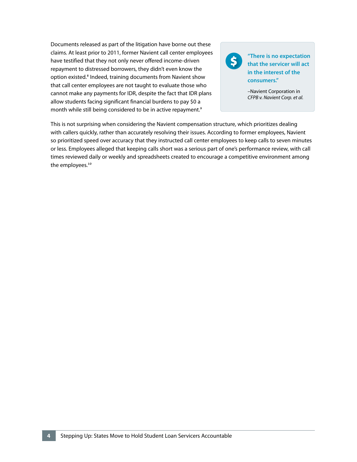Documents released as part of the litigation have borne out these claims. At least prior to 2011, former Navient call center employees have testified that they not only never offered income-driven repayment to distressed borrowers, they didn't even know the option existed.8 Indeed, training documents from Navient show that call center employees are not taught to evaluate those who cannot make any payments for IDR, despite the fact that IDR plans allow students facing significant financial burdens to pay \$0 a month while still being considered to be in active repayment.<sup>9</sup>

**"There is no expectation that the servicer will act in the interest of the consumers."** 

 $\mathbf{S}$ 

–Navient Corporation in *CFPB v. Navient Corp. et al.*

This is not surprising when considering the Navient compensation structure, which prioritizes dealing with callers quickly, rather than accurately resolving their issues. According to former employees, Navient so prioritized speed over accuracy that they instructed call center employees to keep calls to seven minutes or less. Employees alleged that keeping calls short was a serious part of one's performance review, with call times reviewed daily or weekly and spreadsheets created to encourage a competitive environment among the employees.<sup>10</sup>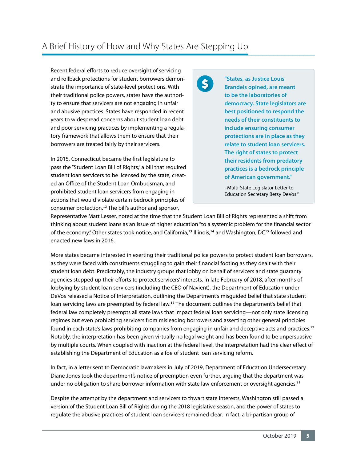Recent federal efforts to reduce oversight of servicing and rollback protections for student borrowers demonstrate the importance of state-level protections. With their traditional police powers, states have the authority to ensure that servicers are not engaging in unfair and abusive practices. States have responded in recent years to widespread concerns about student loan debt and poor servicing practices by implementing a regulatory framework that allows them to ensure that their borrowers are treated fairly by their servicers.

In 2015, Connecticut became the first legislature to pass the "Student Loan Bill of Rights," a bill that required student loan servicers to be licensed by the state, created an Office of the Student Loan Ombudsman, and prohibited student loan servicers from engaging in actions that would violate certain bedrock principles of consumer protection.12 The bill's author and sponsor,



**"States, as Justice Louis Brandeis opined, are meant to be the laboratories of democracy. State legislators are best positioned to respond the needs of their constituents to include ensuring consumer protections are in place as they relate to student loan servicers. The right of states to protect their residents from predatory practices is a bedrock principle of American government."**

–Multi-State Legislator Letter to Education Secretary Betsy DeVos<sup>11</sup>

Representative Matt Lesser, noted at the time that the Student Loan Bill of Rights represented a shift from thinking about student loans as an issue of higher education "to a systemic problem for the financial sector of the economy." Other states took notice, and California,<sup>13</sup> Illinois,<sup>14</sup> and Washington, DC<sup>15</sup> followed and enacted new laws in 2016.

More states became interested in exerting their traditional police powers to protect student loan borrowers, as they were faced with constituents struggling to gain their financial footing as they dealt with their student loan debt. Predictably, the industry groups that lobby on behalf of servicers and state guaranty agencies stepped up their efforts to protect servicers' interests. In late February of 2018, after months of lobbying by student loan servicers (including the CEO of Navient), the Department of Education under DeVos released a Notice of Interpretation, outlining the Department's misguided belief that state student loan servicing laws are preempted by federal law.<sup>16</sup> The document outlines the department's belief that federal law completely preempts all state laws that impact federal loan servicing—not only state licensing regimes but even prohibiting servicers from misleading borrowers and asserting other general principles found in each state's laws prohibiting companies from engaging in unfair and deceptive acts and practices.17 Notably, the interpretation has been given virtually no legal weight and has been found to be unpersuasive by multiple courts. When coupled with inaction at the federal level, the interpretation had the clear effect of establishing the Department of Education as a foe of student loan servicing reform.

In fact, in a letter sent to Democratic lawmakers in July of 2019, Department of Education Undersecretary Diane Jones took the department's notice of preemption even further, arguing that the department was under no obligation to share borrower information with state law enforcement or oversight agencies.<sup>18</sup>

Despite the attempt by the department and servicers to thwart state interests, Washington still passed a version of the Student Loan Bill of Rights during the 2018 legislative season, and the power of states to regulate the abusive practices of student loan servicers remained clear. In fact, a bi-partisan group of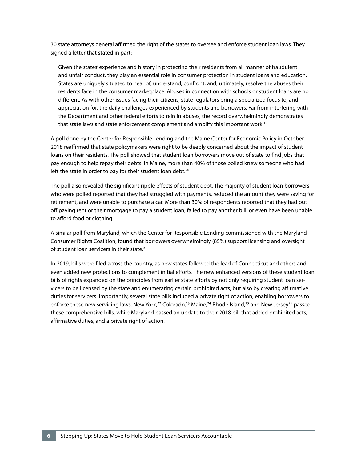30 state attorneys general affirmed the right of the states to oversee and enforce student loan laws. They signed a letter that stated in part:

Given the states' experience and history in protecting their residents from all manner of fraudulent and unfair conduct, they play an essential role in consumer protection in student loans and education. States are uniquely situated to hear of, understand, confront, and, ultimately, resolve the abuses their residents face in the consumer marketplace. Abuses in connection with schools or student loans are no different. As with other issues facing their citizens, state regulators bring a specialized focus to, and appreciation for, the daily challenges experienced by students and borrowers. Far from interfering with the Department and other federal efforts to rein in abuses, the record overwhelmingly demonstrates that state laws and state enforcement complement and amplify this important work.<sup>19</sup>

A poll done by the Center for Responsible Lending and the Maine Center for Economic Policy in October 2018 reaffirmed that state policymakers were right to be deeply concerned about the impact of student loans on their residents. The poll showed that student loan borrowers move out of state to find jobs that pay enough to help repay their debts. In Maine, more than 40% of those polled knew someone who had left the state in order to pay for their student loan debt.<sup>20</sup>

The poll also revealed the significant ripple effects of student debt. The majority of student loan borrowers who were polled reported that they had struggled with payments, reduced the amount they were saving for retirement, and were unable to purchase a car. More than 30% of respondents reported that they had put off paying rent or their mortgage to pay a student loan, failed to pay another bill, or even have been unable to afford food or clothing.

A similar poll from Maryland, which the Center for Responsible Lending commissioned with the Maryland Consumer Rights Coalition, found that borrowers overwhelmingly (85%) support licensing and oversight of student loan servicers in their state.<sup>21</sup>

In 2019, bills were filed across the country, as new states followed the lead of Connecticut and others and even added new protections to complement initial efforts. The new enhanced versions of these student loan bills of rights expanded on the principles from earlier state efforts by not only requiring student loan servicers to be licensed by the state and enumerating certain prohibited acts, but also by creating affirmative duties for servicers. Importantly, several state bills included a private right of action, enabling borrowers to enforce these new servicing laws. New York,<sup>22</sup> Colorado,<sup>23</sup> Maine,<sup>24</sup> Rhode Island,<sup>25</sup> and New Jersey<sup>26</sup> passed these comprehensive bills, while Maryland passed an update to their 2018 bill that added prohibited acts, affirmative duties, and a private right of action.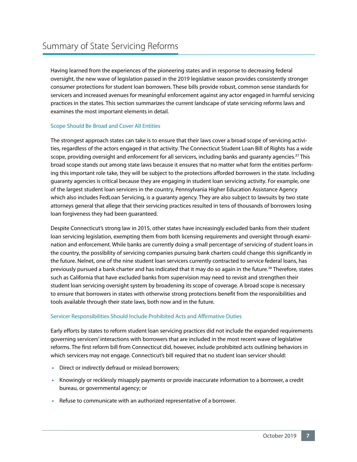Having learned from the experiences of the pioneering states and in response to decreasing federal oversight, the new wave of legislation passed in the 2019 legislative season provides consistently stronger consumer protections for student loan borrowers. These bills provide robust, common sense standards for servicers and increased avenues for meaningful enforcement against any actor engaged in harmful servicing practices in the states. This section summarizes the current landscape of state servicing reforms laws and examines the most important elements in detail.

### Scope Should Be Broad and Cover All Entities

The strongest approach states can take is to ensure that their laws cover a broad scope of servicing activities, regardless of the actors engaged in that activity. The Connecticut Student Loan Bill of Rights has a wide scope, providing oversight and enforcement for all servicers, including banks and quaranty agencies.<sup>27</sup> This broad scope stands out among state laws because it ensures that no matter what form the entities performing this important role take, they will be subject to the protections afforded borrowers in the state. Including guaranty agencies is critical because they are engaging in student loan servicing activity. For example, one of the largest student loan servicers in the country, Pennsylvania Higher Education Assistance Agency which also includes FedLoan Servicing, is a guaranty agency. They are also subject to lawsuits by two state attorneys general that allege that their servicing practices resulted in tens of thousands of borrowers losing loan forgiveness they had been guaranteed.

Despite Connecticut's strong law in 2015, other states have increasingly excluded banks from their student loan servicing legislation, exempting them from both licensing requirements and oversight through examination and enforcement. While banks are currently doing a small percentage of servicing of student loans in the country, the possibility of servicing companies pursuing bank charters could change this significantly in the future. Nelnet, one of the nine student loan servicers currently contracted to service federal loans, has previously pursued a bank charter and has indicated that it may do so again in the future.<sup>28</sup> Therefore, states such as California that have excluded banks from supervision may need to revisit and strengthen their student loan servicing oversight system by broadening its scope of coverage. A broad scope is necessary to ensure that borrowers in states with otherwise strong protections benefit from the responsibilities and tools available through their state laws, both now and in the future.

## Servicer Responsibilities Should Include Prohibited Acts and Affirmative Duties

Early efforts by states to reform student loan servicing practices did not include the expanded requirements governing servicers' interactions with borrowers that are included in the most recent wave of legislative reforms. The first reform bill from Connecticut did, however, include prohibited acts outlining behaviors in which servicers may not engage. Connecticut's bill required that no student loan servicer should:

- **•** Direct or indirectly defraud or mislead borrowers;
- **•** Knowingly or recklessly misapply payments or provide inaccurate information to a borrower, a credit bureau, or governmental agency; or
- **•** Refuse to communicate with an authorized representative of a borrower.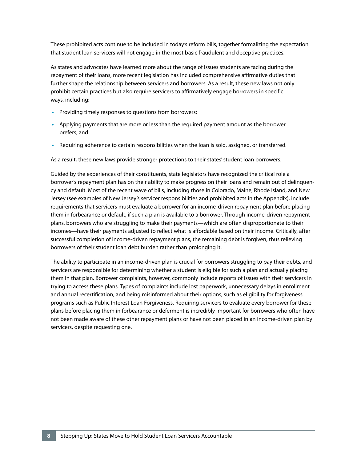These prohibited acts continue to be included in today's reform bills, together formalizing the expectation that student loan servicers will not engage in the most basic fraudulent and deceptive practices.

As states and advocates have learned more about the range of issues students are facing during the repayment of their loans, more recent legislation has included comprehensive affirmative duties that further shape the relationship between servicers and borrowers. As a result, these new laws not only prohibit certain practices but also require servicers to affirmatively engage borrowers in specific ways, including:

- **•** Providing timely responses to questions from borrowers;
- **•** Applying payments that are more or less than the required payment amount as the borrower prefers; and
- **•** Requiring adherence to certain responsibilities when the loan is sold, assigned, or transferred.

As a result, these new laws provide stronger protections to their states' student loan borrowers.

Guided by the experiences of their constituents, state legislators have recognized the critical role a borrower's repayment plan has on their ability to make progress on their loans and remain out of delinquency and default. Most of the recent wave of bills, including those in Colorado, Maine, Rhode Island, and New Jersey (see examples of New Jersey's servicer responsibilities and prohibited acts in the Appendix), include requirements that servicers must evaluate a borrower for an income-driven repayment plan before placing them in forbearance or default, if such a plan is available to a borrower. Through income-driven repayment plans, borrowers who are struggling to make their payments—which are often disproportionate to their incomes—have their payments adjusted to reflect what is affordable based on their income. Critically, after successful completion of income-driven repayment plans, the remaining debt is forgiven, thus relieving borrowers of their student loan debt burden rather than prolonging it.

The ability to participate in an income-driven plan is crucial for borrowers struggling to pay their debts, and servicers are responsible for determining whether a student is eligible for such a plan and actually placing them in that plan. Borrower complaints, however, commonly include reports of issues with their servicers in trying to access these plans. Types of complaints include lost paperwork, unnecessary delays in enrollment and annual recertification, and being misinformed about their options, such as eligibility for forgiveness programs such as Public Interest Loan Forgiveness. Requiring servicers to evaluate every borrower for these plans before placing them in forbearance or deferment is incredibly important for borrowers who often have not been made aware of these other repayment plans or have not been placed in an income-driven plan by servicers, despite requesting one.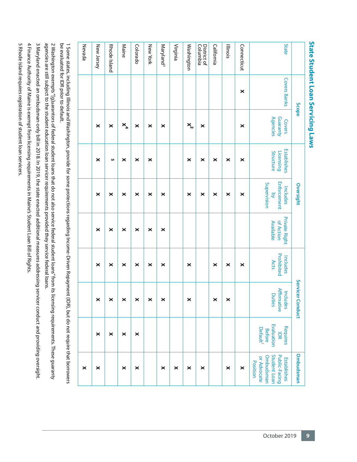State Student Loan Servicing Laws **State Student Loan Servicing Laws**

1 Some states, including Illinois and Washington, provide for some protections regarding Income-Driven Repayment (IDR), but do not require that borrowers<br>be evaluated for IDR prior to default. be evaluated for IDR prior to default. 1 Some states, including Illinois and Washington, provide for some protections regarding Income-Driven Repayment (IDR), but do not require that borrowers

2 Washington exempts "[g]uarantors of federal student loans that do not also service federal student loans" from its licensing requirements. These guaranty<br>agencies are still subject to the student education loan servicer  $2$  Washington exempts "[g]uarantors of federal student loans" from its licension that do not also service federal student loans" from its licensing requirements. These guaranty

agencies are still subject to the student education loan servicer requirements provided they service federal loans.

3 Maryland enacted an ombudsman-only bill in 2018. In 2019, the state enacted additional measures addressing servicer conduct and providing oversight. 3 Maryland enacted an ombudsman-only bill in 2018. In 2019, the state enacted additional measures addressing servicer conduct and providing oversight.

4 Finance Authority of Maine is exempt from licensing requirements in Maine's Student Loan Bill of Rights. 4 Finance Authority of Maine is exempt from licensing requirements in Maine's Student Loan Bill of Rights.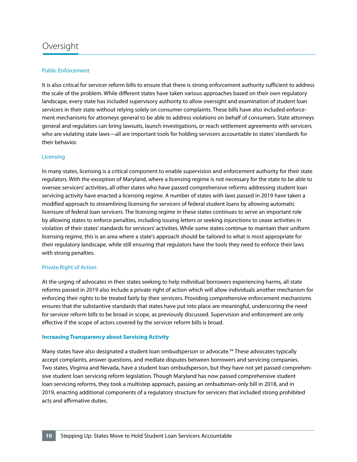# Oversight –––––––––––––––––––––––––––––––––––––––––––––––––––––––––––––––––––––––––

### Public Enforcement

It is also critical for servicer reform bills to ensure that there is strong enforcement authority sufficient to address the scale of the problem. While different states have taken various approaches based on their own regulatory landscape, every state has included supervisory authority to allow oversight and examination of student loan servicers in their state without relying solely on consumer complaints. These bills have also included enforcement mechanisms for attorneys general to be able to address violations on behalf of consumers. State attorneys general and regulators can bring lawsuits, launch investigations, or reach settlement agreements with servicers who are violating state laws—all are important tools for holding servicers accountable to states' standards for their behavior.

### Licensing

In many states, licensing is a critical component to enable supervision and enforcement authority for their state regulators. With the exception of Maryland, where a licensing regime is not necessary for the state to be able to oversee servicers' activities, all other states who have passed comprehensive reforms addressing student loan servicing activity have enacted a licensing regime. A number of states with laws passed in 2019 have taken a modified approach to streamlining licensing for servicers of federal student loans by allowing automatic licensure of federal loan servicers. The licensing regime in these states continues to serve an important role by allowing states to enforce penalties, including issuing letters or seeking injunctions to cease activities in violation of their states' standards for servicers' activities. While some states continue to maintain their uniform licensing regime, this is an area where a state's approach should be tailored to what is most appropriate for their regulatory landscape, while still ensuring that regulators have the tools they need to enforce their laws with strong penalties.

## Private Right of Action

At the urging of advocates in their states seeking to help individual borrowers experiencing harms, all state reforms passed in 2019 also include a private right of action which will allow individuals another mechanism for enforcing their rights to be treated fairly by their servicers. Providing comprehensive enforcement mechanisms ensures that the substantive standards that states have put into place are meaningful, underscoring the need for servicer reform bills to be broad in scope, as previously discussed. Supervision and enforcement are only effective if the scope of actors covered by the servicer reform bills is broad.

#### **Increasing Transparency about Servicing Activity**

Many states have also designated a student loan ombudsperson or advocate.<sup>29</sup> These advocates typically accept complaints, answer questions, and mediate disputes between borrowers and servicing companies. Two states, Virginia and Nevada, have a student loan ombudsperson, but they have not yet passed comprehensive student loan servicing reform legislation. Though Maryland has now passed comprehensive student loan servicing reforms, they took a multistep approach, passing an ombudsman-only bill in 2018, and in 2019, enacting additional components of a regulatory structure for servicers that included strong prohibited acts and affirmative duties.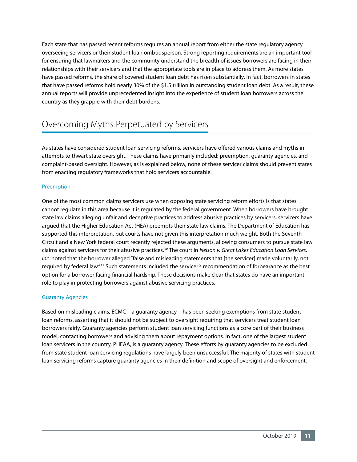Each state that has passed recent reforms requires an annual report from either the state regulatory agency overseeing servicers or their student loan ombudsperson. Strong reporting requirements are an important tool for ensuring that lawmakers and the community understand the breadth of issues borrowers are facing in their relationships with their servicers and that the appropriate tools are in place to address them. As more states have passed reforms, the share of covered student loan debt has risen substantially. In fact, borrowers in states that have passed reforms hold nearly 30% of the \$1.5 trillion in outstanding student loan debt. As a result, these annual reports will provide unprecedented insight into the experience of student loan borrowers across the country as they grapple with their debt burdens.

# Overcoming Myths Perpetuated by Servicers –––––––––––––––––––––––––––––––––––––––––––––––––––––––––––––––––––––––––

As states have considered student loan servicing reforms, servicers have offered various claims and myths in attempts to thwart state oversight. These claims have primarily included: preemption, guaranty agencies, and complaint-based oversight. However, as is explained below, none of these servicer claims should prevent states from enacting regulatory frameworks that hold servicers accountable.

## Preemption

One of the most common claims servicers use when opposing state servicing reform efforts is that states cannot regulate in this area because it is regulated by the federal government. When borrowers have brought state law claims alleging unfair and deceptive practices to address abusive practices by servicers, servicers have argued that the Higher Education Act (HEA) preempts their state law claims. The Department of Education has supported this interpretation, but courts have not given this interpretation much weight. Both the Seventh Circuit and a New York federal court recently rejected these arguments, allowing consumers to pursue state law claims against servicers for their abusive practices.30 The court in *Nelson v. Great Lakes Education Loan Services, Inc.* noted that the borrower alleged "false and misleading statements that [the servicer] made voluntarily, not required by federal law."31 Such statements included the servicer's recommendation of forbearance as the best option for a borrower facing financial hardship. These decisions make clear that states do have an important role to play in protecting borrowers against abusive servicing practices.

#### Guaranty Agencies

Based on misleading claims, ECMC—a guaranty agency—has been seeking exemptions from state student loan reforms, asserting that it should not be subject to oversight requiring that servicers treat student loan borrowers fairly. Guaranty agencies perform student loan servicing functions as a core part of their business model, contacting borrowers and advising them about repayment options. In fact, one of the largest student loan servicers in the country, PHEAA, is a guaranty agency. These efforts by guaranty agencies to be excluded from state student loan servicing regulations have largely been unsuccessful. The majority of states with student loan servicing reforms capture guaranty agencies in their definition and scope of oversight and enforcement.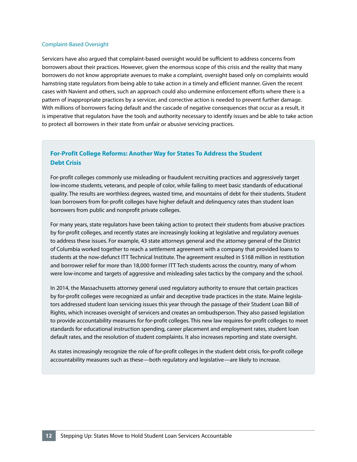#### Complaint-Based Oversight

Servicers have also argued that complaint-based oversight would be sufficient to address concerns from borrowers about their practices. However, given the enormous scope of this crisis and the reality that many borrowers do not know appropriate avenues to make a complaint, oversight based only on complaints would hamstring state regulators from being able to take action in a timely and efficient manner. Given the recent cases with Navient and others, such an approach could also undermine enforcement efforts where there is a pattern of inappropriate practices by a servicer, and corrective action is needed to prevent further damage. With millions of borrowers facing default and the cascade of negative consequences that occur as a result, it is imperative that regulators have the tools and authority necessary to identify issues and be able to take action to protect all borrowers in their state from unfair or abusive servicing practices.

# **For-Profit College Reforms: Another Way for States To Address the Student Debt Crisis**

For-profit colleges commonly use misleading or fraudulent recruiting practices and aggressively target low-income students, veterans, and people of color, while failing to meet basic standards of educational quality. The results are worthless degrees, wasted time, and mountains of debt for their students. Student loan borrowers from for-profit colleges have higher default and delinquency rates than student loan borrowers from public and nonprofit private colleges.

For many years, state regulators have been taking action to protect their students from abusive practices by for-profit colleges, and recently states are increasingly looking at legislative and regulatory avenues to address these issues. For example, 43 state attorneys general and the attorney general of the District of Columbia worked together to reach a settlement agreement with a company that provided loans to students at the now-defunct ITT Technical Institute. The agreement resulted in \$168 million in restitution and borrower relief for more than 18,000 former ITT Tech students across the country, many of whom were low-income and targets of aggressive and misleading sales tactics by the company and the school.

In 2014, the Massachusetts attorney general used regulatory authority to ensure that certain practices by for-profit colleges were recognized as unfair and deceptive trade practices in the state. Maine legislators addressed student loan servicing issues this year through the passage of their Student Loan Bill of Rights, which increases oversight of servicers and creates an ombudsperson. They also passed legislation to provide accountability measures for for-profit colleges. This new law requires for-profit colleges to meet standards for educational instruction spending, career placement and employment rates, student loan default rates, and the resolution of student complaints. It also increases reporting and state oversight.

As states increasingly recognize the role of for-profit colleges in the student debt crisis, for-profit college accountability measures such as these—both regulatory and legislative—are likely to increase.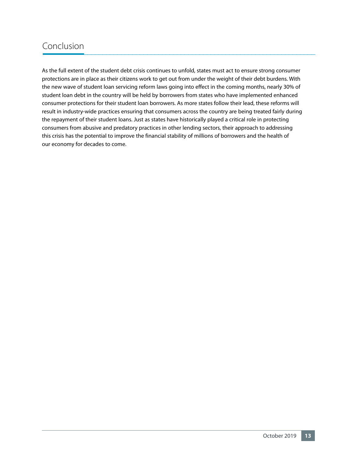# Conclusion –––––––––––––––––––––––––––––––––––––––––––––––––––––––––––––––––––––––––

As the full extent of the student debt crisis continues to unfold, states must act to ensure strong consumer protections are in place as their citizens work to get out from under the weight of their debt burdens. With the new wave of student loan servicing reform laws going into effect in the coming months, nearly 30% of student loan debt in the country will be held by borrowers from states who have implemented enhanced consumer protections for their student loan borrowers. As more states follow their lead, these reforms will result in industry-wide practices ensuring that consumers across the country are being treated fairly during the repayment of their student loans. Just as states have historically played a critical role in protecting consumers from abusive and predatory practices in other lending sectors, their approach to addressing this crisis has the potential to improve the financial stability of millions of borrowers and the health of our economy for decades to come.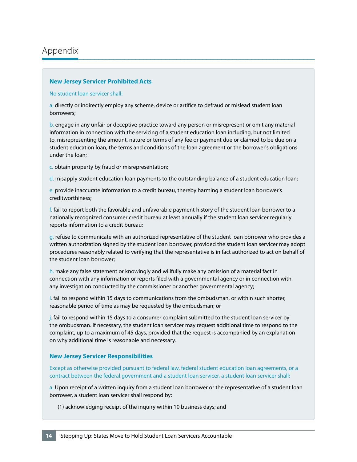# Appendix –––––––––––––––––––––––––––––––––––––––––––––––––––––––––––––––––––––––––

## **New Jersey Servicer Prohibited Acts**

#### No student loan servicer shall:

a. directly or indirectly employ any scheme, device or artifice to defraud or mislead student loan borrowers;

b. engage in any unfair or deceptive practice toward any person or misrepresent or omit any material information in connection with the servicing of a student education loan including, but not limited to, misrepresenting the amount, nature or terms of any fee or payment due or claimed to be due on a student education loan, the terms and conditions of the loan agreement or the borrower's obligations under the loan;

c. obtain property by fraud or misrepresentation;

d. misapply student education loan payments to the outstanding balance of a student education loan;

e. provide inaccurate information to a credit bureau, thereby harming a student loan borrower's creditworthiness;

f. fail to report both the favorable and unfavorable payment history of the student loan borrower to a nationally recognized consumer credit bureau at least annually if the student loan servicer regularly reports information to a credit bureau;

g. refuse to communicate with an authorized representative of the student loan borrower who provides a written authorization signed by the student loan borrower, provided the student loan servicer may adopt procedures reasonably related to verifying that the representative is in fact authorized to act on behalf of the student loan borrower;

h. make any false statement or knowingly and willfully make any omission of a material fact in connection with any information or reports filed with a governmental agency or in connection with any investigation conducted by the commissioner or another governmental agency;

i. fail to respond within 15 days to communications from the ombudsman, or within such shorter, reasonable period of time as may be requested by the ombudsman; or

j. fail to respond within 15 days to a consumer complaint submitted to the student loan servicer by the ombudsman. If necessary, the student loan servicer may request additional time to respond to the complaint, up to a maximum of 45 days, provided that the request is accompanied by an explanation on why additional time is reasonable and necessary.

### **New Jersey Servicer Responsibilities**

Except as otherwise provided pursuant to federal law, federal student education loan agreements, or a contract between the federal government and a student loan servicer, a student loan servicer shall:

a. Upon receipt of a written inquiry from a student loan borrower or the representative of a student loan borrower, a student loan servicer shall respond by:

(1) acknowledging receipt of the inquiry within 10 business days; and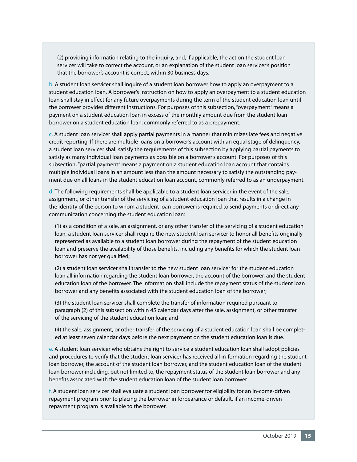(2) providing information relating to the inquiry, and, if applicable, the action the student loan servicer will take to correct the account, or an explanation of the student loan servicer's position that the borrower's account is correct, within 30 business days.

b. A student loan servicer shall inquire of a student loan borrower how to apply an overpayment to a student education loan. A borrower's instruction on how to apply an overpayment to a student education loan shall stay in effect for any future overpayments during the term of the student education loan until the borrower provides different instructions. For purposes of this subsection, "overpayment" means a payment on a student education loan in excess of the monthly amount due from the student loan borrower on a student education loan, commonly referred to as a prepayment.

c. A student loan servicer shall apply partial payments in a manner that minimizes late fees and negative credit reporting. If there are multiple loans on a borrower's account with an equal stage of delinquency, a student loan servicer shall satisfy the requirements of this subsection by applying partial payments to satisfy as many individual loan payments as possible on a borrower's account. For purposes of this subsection, "partial payment" means a payment on a student education loan account that contains multiple individual loans in an amount less than the amount necessary to satisfy the outstanding payment due on all loans in the student education loan account, commonly referred to as an underpayment.

d. The following requirements shall be applicable to a student loan servicer in the event of the sale, assignment, or other transfer of the servicing of a student education loan that results in a change in the identity of the person to whom a student loan borrower is required to send payments or direct any communication concerning the student education loan:

(1) as a condition of a sale, an assignment, or any other transfer of the servicing of a student education loan, a student loan servicer shall require the new student loan servicer to honor all benefits originally represented as available to a student loan borrower during the repayment of the student education loan and preserve the availability of those benefits, including any benefits for which the student loan borrower has not yet qualified;

(2) a student loan servicer shall transfer to the new student loan servicer for the student education loan all information regarding the student loan borrower, the account of the borrower, and the student education loan of the borrower. The information shall include the repayment status of the student loan borrower and any benefits associated with the student education loan of the borrower;

(3) the student loan servicer shall complete the transfer of information required pursuant to paragraph (2) of this subsection within 45 calendar days after the sale, assignment, or other transfer of the servicing of the student education loan; and

(4) the sale, assignment, or other transfer of the servicing of a student education loan shall be completed at least seven calendar days before the next payment on the student education loan is due.

e. A student loan servicer who obtains the right to service a student education loan shall adopt policies and procedures to verify that the student loan servicer has received all in-formation regarding the student loan borrower, the account of the student loan borrower, and the student education loan of the student loan borrower including, but not limited to, the repayment status of the student loan borrower and any benefits associated with the student education loan of the student loan borrower.

f. A student loan servicer shall evaluate a student loan borrower for eligibility for an in-come-driven repayment program prior to placing the borrower in forbearance or default, if an income-driven repayment program is available to the borrower.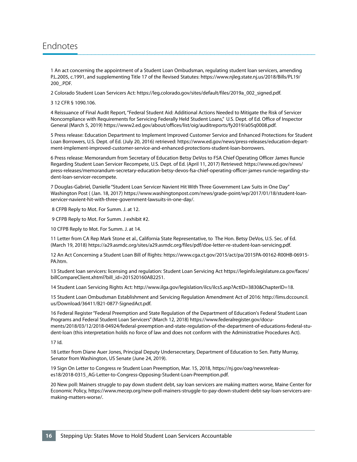# Endnotes –––––––––––––––––––––––––––––––––––––––––––––––––––––––––––––––––––––––––

1 An act concerning the appointment of a Student Loan Ombudsman, regulating student loan servicers, amending P.L.2005, c.1991, and supplementing Title 17 of the Revised Statutes: https://www.njleg.state.nj.us/2018/Bills/PL19/ 200\_.PDF.

2 Colorado Student Loan Servicers Act: https://leg.colorado.gov/sites/default/files/2019a\_002\_signed.pdf.

3 12 CFR § 1090.106.

4 Reissuance of Final Audit Report, "Federal Student Aid: Additional Actions Needed to Mitigate the Risk of Servicer Noncompliance with Requirements for Servicing Federally Held Student Loans," U.S. Dept. of Ed. Office of Inspector General (March 5, 2019) https://www2.ed.gov/about/offices/list/oig/auditreports/fy2019/a05q0008.pdf.

5 Press release: Education Department to Implement Improved Customer Service and Enhanced Protections for Student Loan Borrowers, U.S. Dept. of Ed. (July 20, 2016) retrieved: https://www.ed.gov/news/press-releases/education-department-implement-improved-customer-service-and-enhanced-protections-student-loan-borrowers.

6 Press release: Memorandum from Secretary of Education Betsy DeVos to FSA Chief Operating Officer James Runcie Regarding Student Loan Servicer Recompete, U.S. Dept. of Ed. (April 11, 2017) Retrieved: https://www.ed.gov/news/ press-releases/memorandum-secretary-education-betsy-devos-fsa-chief-operating-officer-james-runcie-regarding-student-loan-servicer-recompete.

7 Douglas-Gabriel, Danielle "Student Loan Servicer Navient Hit With Three Government Law Suits in One Day" Washington Post ( (Jan. 18, 2017) https://www.washingtonpost.com/news/grade-point/wp/2017/01/18/student-loanservicer-navient-hit-with-three-government-lawsuits-in-one-day/.

8 CFPB Reply to Mot. For Summ. J. at 12.

9 CFPB Reply to Mot. For Summ. J exhibit #2.

10 CFPB Reply to Mot. For Summ. J. at 14.

11 Letter from CA Rep Mark Stone et al., California State Representative, to The Hon. Betsy DeVos, U.S. Sec. of Ed. (March 19, 2018) https://a29.asmdc.org/sites/a29.asmdc.org/files/pdf/doe-letter-re-student-loan-servicing.pdf.

12 An Act Concerning a Student Loan Bill of Rights: https://www.cga.ct.gov/2015/act/pa/2015PA-00162-R00HB-06915- PA.htm.

13 Student loan servicers: licensing and regulation: Student Loan Servicing Act https://leginfo.legislature.ca.gov/faces/ billCompareClient.xhtml?bill\_id=201520160AB2251.

14 Student Loan Servicing Rights Act: http://www.ilga.gov/legislation/ilcs/ilcs5.asp?ActID=3830&ChapterID=18.

15 Student Loan Ombudsman Establishment and Servicing Regulation Amendment Act of 2016: http://lims.dccouncil. us/Download/36411/B21-0877-SignedAct.pdf.

16 Federal Register "Federal Preemption and State Regulation of the Department of Education's Federal Student Loan Programs and Federal Student Loan Servicers" (March 12, 2018) https://www.federalregister.gov/documents/2018/03/12/2018-04924/federal-preemption-and-state-regulation-of-the-department-of-educations-federal-student-loan (this interpretation holds no force of law and does not conform with the Administrative Procedures Act).

17 Id.

18 Letter from Diane Auer Jones, Principal Deputy Undersecretary, Department of Education to Sen. Patty Murray, Senator from Washington, US Senate (June 24, 2019).

19 Sign On Letter to Congress re Student Loan Preemption, Mar. 15, 2018, https://nj.gov/oag/newsreleases18/2018-0315\_AG-Letter-to-Congress-Opposing-Student-Loan-Preemption.pdf.

20 New poll: Mainers struggle to pay down student debt, say loan servicers are making matters worse, Maine Center for Economic Policy, https://www.mecep.org/new-poll-mainers-struggle-to-pay-down-student-debt-say-loan-servicers-aremaking-matters-worse/.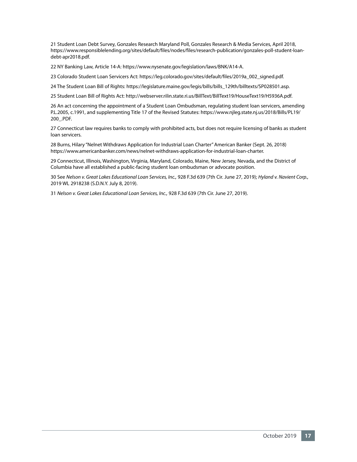21 Student Loan Debt Survey, Gonzales Research Maryland Poll, Gonzales Research & Media Services, April 2018, https://www.responsiblelending.org/sites/default/files/nodes/files/research-publication/gonzales-poll-student-loandebt-apr2018.pdf.

22 NY Banking Law, Article 14-A: https://www.nysenate.gov/legislation/laws/BNK/A14-A.

23 Colorado Student Loan Servicers Act: https://leg.colorado.gov/sites/default/files/2019a\_002\_signed.pdf.

24 The Student Loan Bill of Rights: https://legislature.maine.gov/legis/bills/bills\_129th/billtexts/SP028501.asp.

25 Student Loan Bill of Rights Act: http://webserver.rilin.state.ri.us/BillText/BillText19/HouseText19/H5936A.pdf.

26 An act concerning the appointment of a Student Loan Ombudsman, regulating student loan servicers, amending P.L.2005, c.1991, and supplementing Title 17 of the Revised Statutes: https://www.njleg.state.nj.us/2018/Bills/PL19/ 200\_.PDF.

27 Connecticut law requires banks to comply with prohibited acts, but does not require licensing of banks as student loan servicers.

28 Burns, Hilary "Nelnet Withdraws Application for Industrial Loan Charter" American Banker (Sept. 26, 2018) https://www.americanbanker.com/news/nelnet-withdraws-application-for-industrial-loan-charter.

29 Connecticut, Illinois, Washington, Virginia, Maryland, Colorado, Maine, New Jersey, Nevada, and the District of Columbia have all established a public-facing student loan ombudsman or advocate position.

30 See *Nelson v. Great Lakes Educational Loan Services, Inc.,* 928 F.3d 639 (7th Cir. June 27, 2019); *Hyland v. Navient Corp.,* 2019 WL 2918238 (S.D.N.Y. July 8, 2019).

31 *Nelson v. Great Lakes Educational Loan Services, Inc.,* 928 F.3d 639 (7th Cir. June 27, 2019).